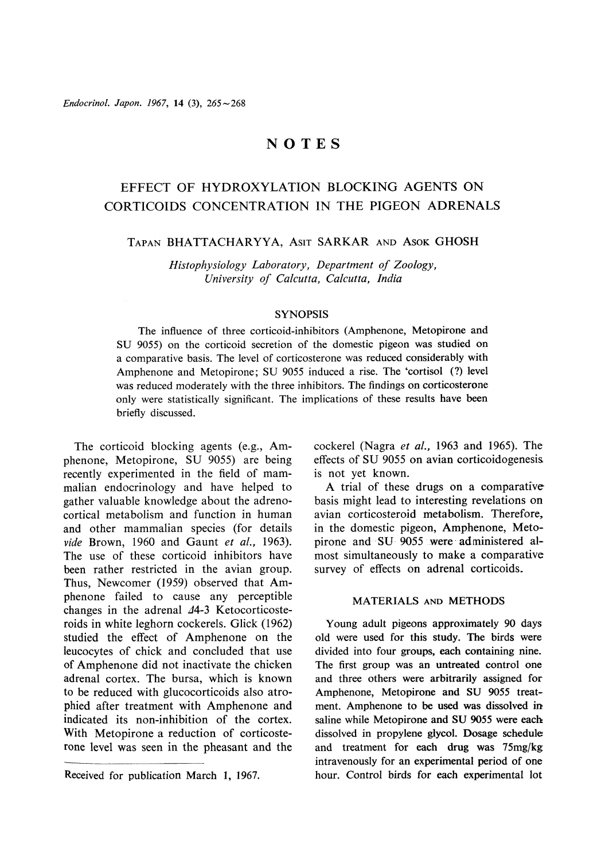# NOTES

# EFFECT OF HYDROXYLATION BLOCKING AGENTS ON CORTICOIDS CONCENTRATION IN THE PIGEON ADRENALS

# TAPAN BHATTACHARYYA, AsIT SARKAR AND ASOK GHOSH

Histophysiology Laboratory, Department of Zoology, University of Calcutta, Calcutta, India

# **SYNOPSIS**

The influence of three corticoid-inhibitors (Amphenone, Metopirone and SU 9055) on the corticoid secretion of the domestic pigeon was studied on a comparative basis. The level of corticosterone was reduced considerably with Amphenone and Metopirone; SU 9055 induced a rise. The 'cortisol (?) level was reduced moderately with the three inhibitors. The findings on corticosterone only were statistically significant. The implications of these results have been briefly discussed.

The corticoid blocking agents (e.g., Amphenone, Metopirone, SU 9055) are being recently experimented in the field of mammalian endocrinology and have helped to gather valuable knowledge about the adrenocortical metabolism and function in human and other mammalian species (for details vide Brown, 1960 and Gaunt et al., 1963). The use of these corticoid inhibitors have been rather restricted in the avian group. Thus, Newcomer (1959) observed that Amphenone failed to cause any perceptible changes in the adrenal  $44-3$  Ketocorticosteroids in white leghorn cockerels. Glick (1962) studied the effect of Amphenone on the leucocytes of chick and concluded that use of Amphenone did not inactivate the chicken adrenal cortex. The bursa, which is known to be reduced with glucocorticoids also atrophied after treatment with Amphenone and indicated its non-inhibition of the cortex. With Metopirone a reduction of corticosterone level was seen in the pheasant and the cockerel (Nagra et al., 1963 and 1965). The effects of SU 9055 on avian corticoidogenesis is not yet known.

A trial of these drugs on a comparative basis might lead to interesting revelations on avian corticosteroid metabolism. Therefore, in the domestic pigeon, Amphenone, Metopirone and SU 9055 were-administered almost simultaneously to make a comparative survey of effects on adrenal corticoids.

# MATERIALS AND METHODS

Young adult pigeons approximately 90 days old were used for this study. The birds were divided into four groups, each containing nine. The first group was an untreated control one and three others were arbitrarily assigned for Amphenone, Metopirone and SU 9055 treatment. Amphenone to be used was dissolved in saline while Metopirone and SU 9055 were each dissolved in propylene glycol. Dosage schedule and treatment for each drug was 75mg/kg intravenously for an experimental period of one Received for publication March 1, 1967. hour. Control birds for each experimental lot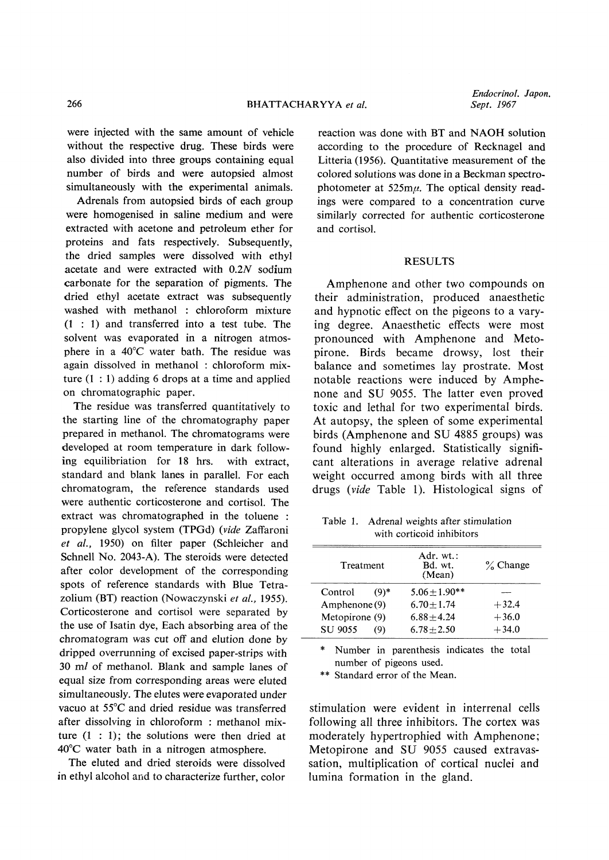were injected with the same amount of vehicle without the respective drug. These birds were also divided into three groups containing equal number of birds and were autopsied almost simultaneously with the experimental animals.

Adrenals from autopsied birds of each group were homogenised in saline medium and were extracted with acetone and petroleum ether for proteins and fats respectively. Subsequently, the dried samples were dissolved with ethyl acetate and were extracted with 0.2N sodium carbonate for the separation of pigments. The dried ethyl acetate extract was subsequently washed with methanol: chloroform mixture  $(1:1)$  and transferred into a test tube. The solvent was evaporated in a nitrogen atmosphere in a  $40^{\circ}$ C water bath. The residue was again dissolved in methanol: chloroform mixture  $(1:1)$  adding 6 drops at a time and applied on chromatographic paper.

The residue was transferred quantitatively to the starting line of the chromatography paper prepared in methanol. The chromatograms were developed at room temperature in dark following equilibriation for 18 hrs. with extract, standard and blank lanes in parallel. For each chromatogram, the reference standards used were authentic corticosterone and cortisol. The extract was chromatographed in the toluene: propylene glycol system (TPGd) (vide Zaffaroni et al.,1950) on filter paper (Schleicher and Schnell No. 2043-A). The steroids were detected after color development of the corresponding spots of reference standards with Blue Tetrazolium (BT) reaction (Nowaczynski et al., 1955). Corticosterone and cortisol were separated by the use of Isatin dye, Each absorbing area of the chromatogram was cut off and elution done by dripped overrunning of excised paper-strips with 30ml of methanol. Blank and sample lanes of equal size from corresponding areas were eluted simultaneously. The elutes were evaporated under vacuo at 55°C and dried residue was transferred after dissolving in chloroform: methanol mixture  $(1:1)$ ; the solutions were then dried at  $40^{\circ}$ C water bath in a nitrogen atmosphere.

The eluted and dried steroids were dissolved in ethyl alcohol and to characterize further, color

reaction was done with BT and NAOH solution according to the procedure of Recknagel and Litteria (1956). Quantitative measurement of the colored solutions was done in a Beckman spectrophotometer at  $525m\mu$ . The optical density readings were compared to a concentration curve similarly corrected for authentic corticosterone and cortisol.

### RESULTS

Amphenone and other two compounds on their administration, produced anaesthetic and hypnotic effect on the pigeons to a varying degree. Anaesthetic effects were most pronounced with Amphenone and Metopirone. Birds became drowsy, lost their balance and sometimes lay prostrate. Most notable reactions were induced by Amphenone and SU 9055. The latter even proved toxic and lethal for two experimental birds. At autopsy, the spleen of some experimental birds (Amphenone and SU 4885 groups) was found highly enlarged. Statistically significant alterations in average relative adrenal weight occurred among birds with all three drugs (vide Table 1). Histological signs of

Table 1. Adrenal weights after stimulation with corticoid inhibitors

| Treatment      |        | Adr. $wt$ .:<br>Bd. wt.<br>(Mean) | $\%$ Change |  |
|----------------|--------|-----------------------------------|-------------|--|
| Control        | $(9)*$ | $5.06 + 1.90**$                   |             |  |
| Amphenone (9)  |        | $6.70 + 1.74$                     | $+32.4$     |  |
| Metopirone (9) |        | $6.88 + 4.24$                     | $+36.0$     |  |
| SU 9055        | (9)    | $6.78 + 2.50$                     | $+34.0$     |  |

\*Number in parenthesis indicates the total number of pigeons used.

\*\* Standard error of the Mean.

stimulation were evident in interrenal cells following all three inhibitors. The cortex was moderately hypertrophied with Amphenone; Metopirone and SU 9055 caused extravassation, multiplication of cortical nuclei and lumina formation in the gland.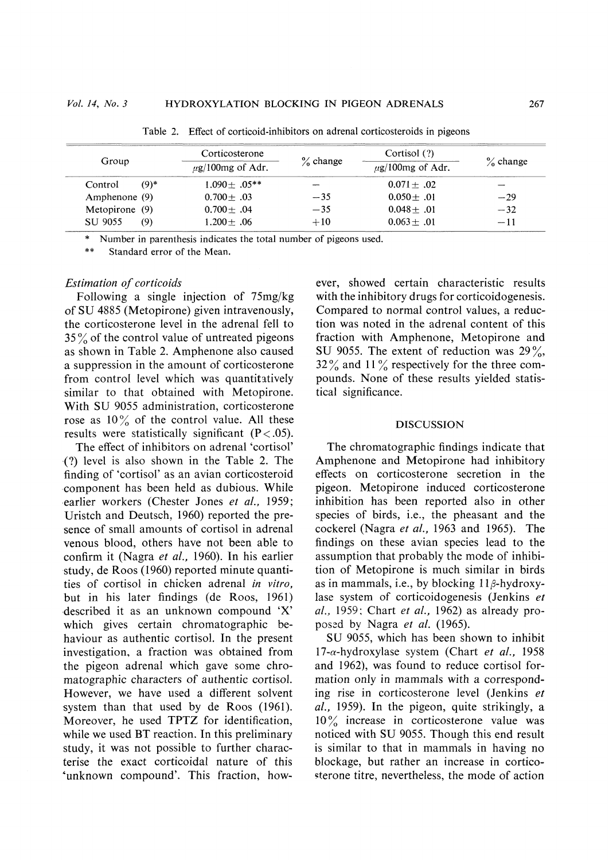| Group          |         | Corticosterone<br>$\mu$ g/100mg of Adr. | $\%$ change | Cortisol (?)<br>$\mu$ g/100mg of Adr. | $\%$ change |
|----------------|---------|-----------------------------------------|-------------|---------------------------------------|-------------|
| Control        | $(9)$ * | $1.090 + 05**$                          |             | $0.071 + .02$                         |             |
| Amphenone (9)  |         | $0.700 + .03$                           | $-35$       | $0.050 + .01$                         | $-29$       |
| Metopirone (9) |         | $0.700 \pm .04$                         | $-35$       | $0.048 + .01$                         | $-32$       |
| <b>SU 9055</b> | (9)     | $1.200 + .06$                           | $+10$       | $0.063 + .01$                         | $-11$       |

Table 2. Effect of corticoid-inhibitors on adrenal corticosteroids in pigeons

\*Number in parenthesis indicates the total number of pigeons used .

\*\* Standard error of the Mean.

### Estimation of corticoids

Following a single injection of 75mg/kg of SU 4885 (Metopirone) given intravenously, the corticosterone level in the adrenal fell to  $35\%$  of the control value of untreated pigeons as shown in Table 2. Amphenone also caused a suppression in the amount of corticosterone from control level which was quantitatively similar to that obtained with Metopirone. With SU 9055 administration, corticosterone rose as  $10\%$  of the control value. All these results were statistically significant  $(P < .05)$ .

The effect of inhibitors on adrenal 'cortisol' (?) level is also shown in the Table 2. The finding of'cortisol'as an avian corticosteroid component has been held as dubious. While earlier workers (Chester Jones et al., 1959; Uristch and Deutsch, 1960) reported the presence of small amounts of cortisol in adrenal venous blood, others have not been able to confirm it (Nagra et al., 1960). In his earlier study, de Roos (1960) reported minute quantities of cortisol in chicken adrenal in vitro, but in his later findings (de Roos, 1961) described it as an unknown compound 'X' which gives certain chromatographic behaviour as authentic cortisol. In the present investigation, a fraction was obtained from the pigeon adrenal which gave some chromatographic characters of authentic cortisol. However, we have used a different solvent system than that used by de Roos (1961). Moreover, he used TPTZ for identification, while we used BT reaction. In this preliminary study, it was not possible to further characterise the exact corticoidal nature of this 'unknown compound'. This fraction, however, showed certain characteristic results with the inhibitory drugs for corticoidogenesis. Compared to normal control values, a reduction was noted in the adrenal content of this fraction with Amphenone, Metopirone and SU 9055. The extent of reduction was  $29\%,$  $32\%$  and  $11\%$  respectively for the three compounds. None of these results yielded statistical significance.

#### DISCUSSION

The chromatographic findings indicate that Amphenone and Metopirone had inhibitory effects on corticosterone secretion in the pigeon. Metopirone induced corticosterone inhibition has been reported also in other species of birds, i.e., the pheasant and the cockerel (Nagra et al., 1963 and 1965). The findings on these ayian species lead to the assumption that probably the mode of inhibition of Metopirone is much similar in birds as in mammals, i.e., by blocking  $11\beta$ -hydroxylase system of corticoidogenesis (Jenkins et al., 1959; Chart et al., 1962) as already proposed by Nagra et al. (1965).

SU 9055, which has been shown to inhibit  $17$ - $\alpha$ -hydroxylase system (Chart *et al.*, 1958) and 1962), was found to reduce cortisol formation only in mammals with a corresponding rise in corticosterone level (Jenkins et al., 1959). In the pigeon, quite strikingly, a 10% increase in corticosterone value was noticed with SU 9055. Though this end result is similar to that in mammals in having no blockage, but rather an increase in corticosterone titre, nevertheless, the mode of action